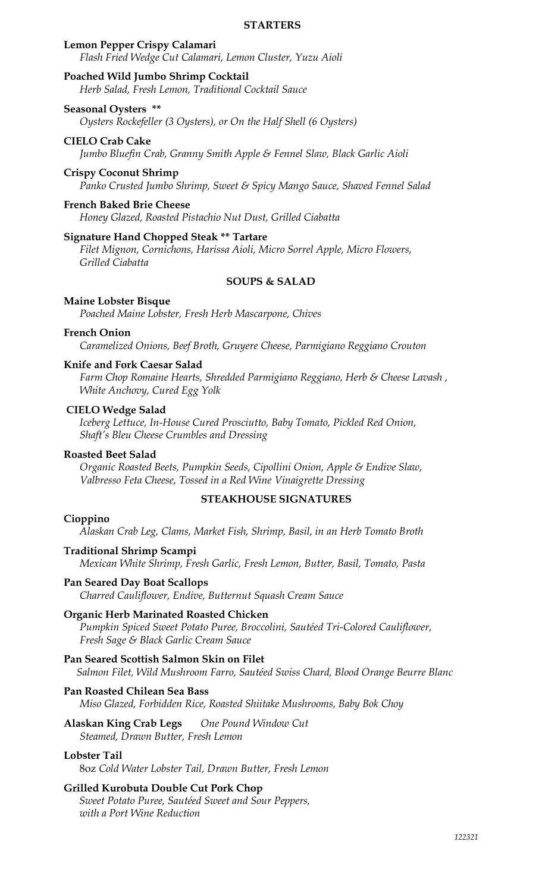#### **STARTERS**

### **Lemon Pepper Crispy Calamari**

*Flash Fried Wedge Cut Calamari, Lemon Cluster, Yuzu Aioli* 

### **Poached Wild Jumbo Shrimp Cocktail**

*Herb Salad, Fresh Lemon, Traditional Cocktail Sauce*

# **Seasonal Oysters \*\***

*Oysters Rockefeller (3 Oysters), or On the Half Shell (6 Oysters)*

# **CIELO Crab Cake**

*Jumbo Bluefin Crab, Granny Smith Apple & Fennel Slaw, Black Garlic Aioli*

#### **Crispy Coconut Shrimp**

*Panko Crusted Jumbo Shrimp, Sweet & Spicy Mango Sauce, Shaved Fennel Salad* 

### **French Baked Brie Cheese**

*Honey Glazed, Roasted Pistachio Nut Dust, Grilled Ciabatta* 

### **Signature Hand Chopped Steak \*\* Tartare**

*Filet Mignon, Cornichons, Harissa Aioli, Micro Sorrel Apple, Micro Flowers, Grilled Ciabatta*

### **SOUPS & SALAD**

#### **Maine Lobster Bisque**

*Poached Maine Lobster, Fresh Herb Mascarpone, Chives*

#### **French Onion**

*Caramelized Onions, Beef Broth, Gruyere Cheese, Parmigiano Reggiano Crouton*

#### **Knife and Fork Caesar Salad**

*Farm Chop Romaine Hearts, Shredded Parmigiano Reggiano, Herb & Cheese Lavash , White Anchovy, Cured Egg Yolk*

#### **CIELO Wedge Salad**

*Iceberg Lettuce, In-House Cured Prosciutto, Baby Tomato, Pickled Red Onion, Shaft's Bleu Cheese Crumbles and Dressing*

#### **Roasted Beet Salad**

*Organic Roasted Beets, Pumpkin Seeds, Cipollini Onion, Apple & Endive Slaw, Valbresso Feta Cheese, Tossed in a Red Wine Vinaigrette Dressing*

#### **STEAKHOUSE SIGNATURES**

#### **Cioppino**

*Alaskan Crab Leg, Clams, Market Fish, Shrimp, Basil, in an Herb Tomato Broth*

#### **Traditional Shrimp Scampi**

*Mexican White Shrimp, Fresh Garlic, Fresh Lemon, Butter, Basil, Tomato, Pasta*

#### **Pan Seared Day Boat Scallops**

*Charred Cauliflower, Endive, Butternut Squash Cream Sauce*

#### **Organic Herb Marinated Roasted Chicken**

*Pumpkin Spiced Sweet Potato Puree, Broccolini, Sautéed Tri-Colored Cauliflower, Fresh Sage & Black Garlic Cream Sauce*

#### **Pan Seared Scottish Salmon Skin on Filet**

*Salmon Filet, Wild Mushroom Farro, Sautéed Swiss Chard, Blood Orange Beurre Blanc*

#### **Pan Roasted Chilean Sea Bass**

*Miso Glazed, Forbidden Rice, Roasted Shiitake Mushrooms, Baby Bok Choy*

#### **Alaskan King Crab Legs** *One Pound Window Cut Steamed, Drawn Butter, Fresh Lemon*

#### **Lobster Tail**

8oz *Cold Water Lobster Tail, Drawn Butter, Fresh Lemon*

### **Grilled Kurobuta Double Cut Pork Chop**

*Sweet Potato Puree, Sautéed Sweet and Sour Peppers, with a Port Wine Reduction*